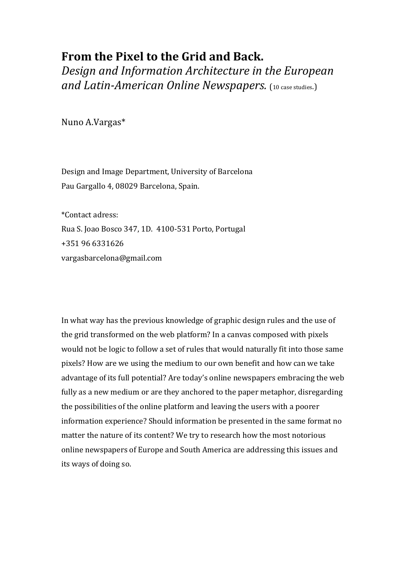## **From the Pixel to the Grid and Back.**

*Design'and'Information'Architecture'in'the'European'* **and Latin-American Online Newspapers.** (10 case studies.)

Nuno!A.Vargas\*

Design and Image Department, University of Barcelona Pau Gargallo 4, 08029 Barcelona, Spain.

\*Contact!adress: Rua S. Joao Bosco 347, 1D. 4100-531 Porto, Portugal +351!96!6331626 vargasbarcelona@gmail.com

In what way has the previous knowledge of graphic design rules and the use of the grid transformed on the web platform? In a canvas composed with pixels would not be logic to follow a set of rules that would naturally fit into those same pixels? How are we using the medium to our own benefit and how can we take advantage of its full potential? Are today's online newspapers embracing the web fully as a new medium or are they anchored to the paper metaphor, disregarding the possibilities of the online platform and leaving the users with a poorer information experience? Should information be presented in the same format no matter the nature of its content? We try to research how the most notorious online newspapers of Europe and South America are addressing this issues and its ways of doing so.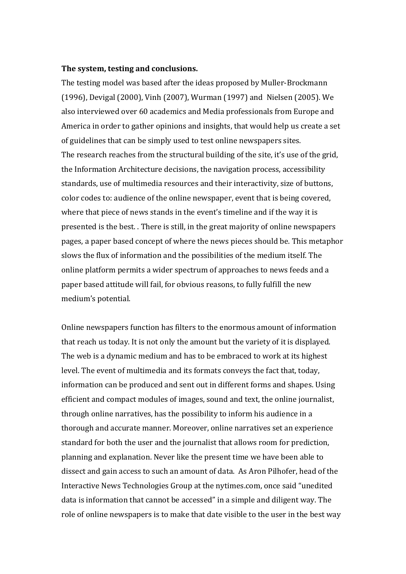## The system, testing and conclusions.

The testing model was based after the ideas proposed by Muller-Brockmann (1996), Devigal (2000), Vinh (2007), Wurman (1997) and Nielsen (2005). We also interviewed over 60 academics and Media professionals from Europe and America in order to gather opinions and insights, that would help us create a set of guidelines that can be simply used to test online newspapers sites. The research reaches from the structural building of the site, it's use of the grid, the Information Architecture decisions, the navigation process, accessibility standards, use of multimedia resources and their interactivity, size of buttons, color codes to: audience of the online newspaper, event that is being covered, where that piece of news stands in the event's timeline and if the way it is presented is the best. . There is still, in the great majority of online newspapers pages, a paper based concept of where the news pieces should be. This metaphor slows the flux of information and the possibilities of the medium itself. The online platform permits a wider spectrum of approaches to news feeds and a paper based attitude will fail, for obvious reasons, to fully fulfill the new medium's potential.

Online newspapers function has filters to the enormous amount of information that reach us today. It is not only the amount but the variety of it is displayed. The web is a dynamic medium and has to be embraced to work at its highest level. The event of multimedia and its formats conveys the fact that, today, information can be produced and sent out in different forms and shapes. Using efficient and compact modules of images, sound and text, the online journalist, through online narratives, has the possibility to inform his audience in a thorough and accurate manner. Moreover, online narratives set an experience standard for both the user and the journalist that allows room for prediction, planning and explanation. Never like the present time we have been able to dissect and gain access to such an amount of data. As Aron Pilhofer, head of the Interactive News Technologies Group at the nytimes.com, once said "unedited data is information that cannot be accessed" in a simple and diligent way. The role of online newspapers is to make that date visible to the user in the best way